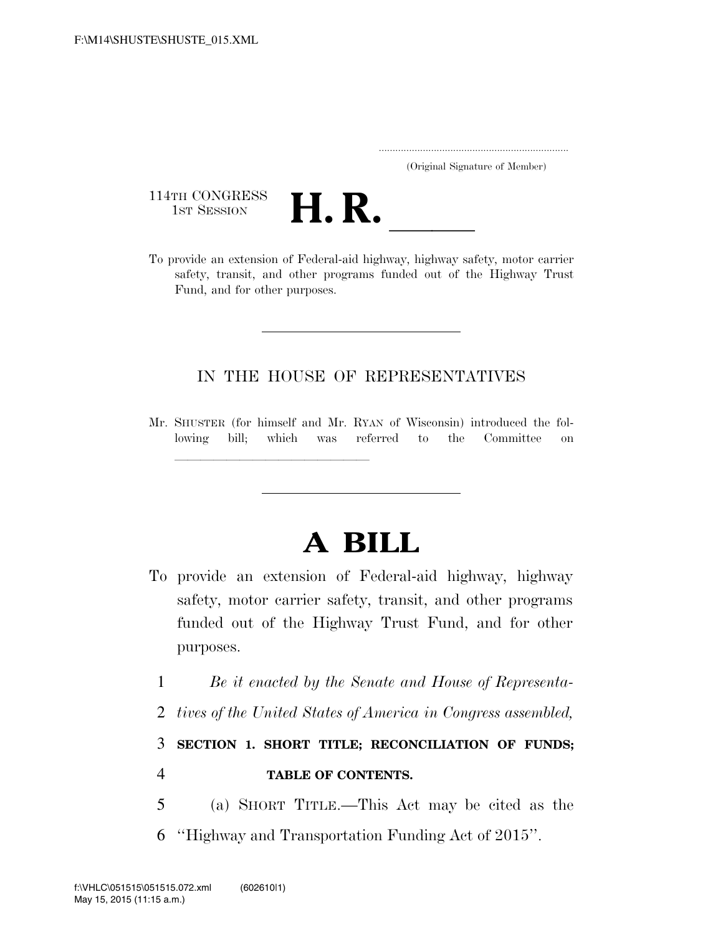..................................................................... (Original Signature of Member)

114TH CONGRESS<br>1st Session



114TH CONGRESS<br>
1st SESSION<br>
To provide an extension of Federal-aid highway, highway safety, motor carrier safety, transit, and other programs funded out of the Highway Trust Fund, and for other purposes.

#### IN THE HOUSE OF REPRESENTATIVES

Mr. SHUSTER (for himself and Mr. RYAN of Wisconsin) introduced the following bill; which was referred to the Committee on

llland and a state of the state of the state of the state of the state of the state of the state of the state o<br>State of the state of the state of the state of the state of the state of the state of the state of the state

# **A BILL**

- To provide an extension of Federal-aid highway, highway safety, motor carrier safety, transit, and other programs funded out of the Highway Trust Fund, and for other purposes.
	- 1 *Be it enacted by the Senate and House of Representa-*
	- 2 *tives of the United States of America in Congress assembled,*

3 **SECTION 1. SHORT TITLE; RECONCILIATION OF FUNDS;**  4 **TABLE OF CONTENTS.** 

5 (a) SHORT TITLE.—This Act may be cited as the 6 ''Highway and Transportation Funding Act of 2015''.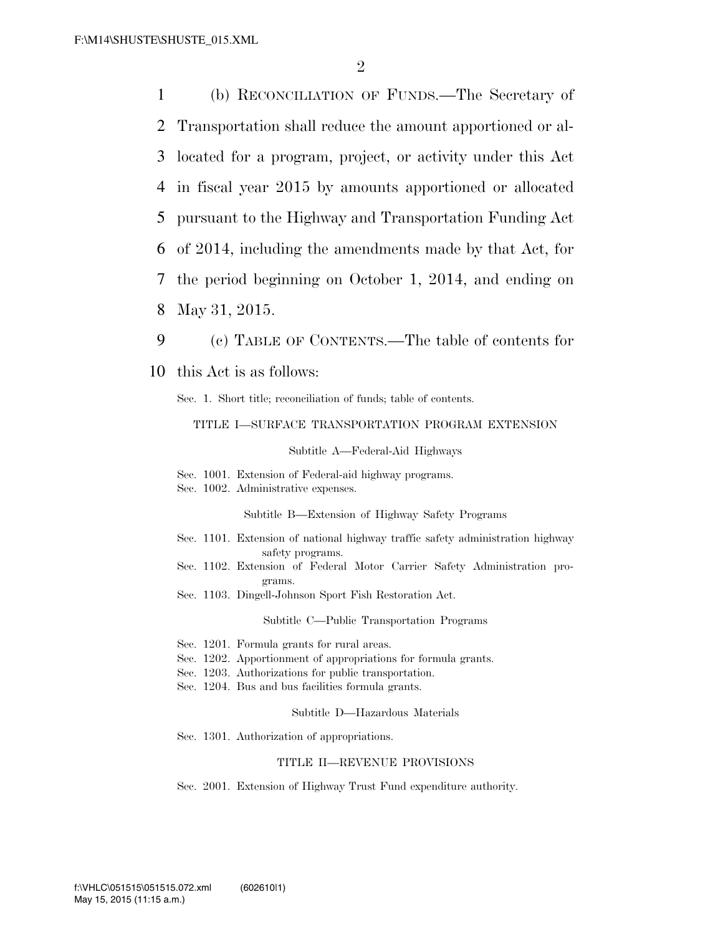(b) RECONCILIATION OF FUNDS.—The Secretary of Transportation shall reduce the amount apportioned or al- located for a program, project, or activity under this Act in fiscal year 2015 by amounts apportioned or allocated pursuant to the Highway and Transportation Funding Act of 2014, including the amendments made by that Act, for the period beginning on October 1, 2014, and ending on May 31, 2015.

9 (c) TABLE OF CONTENTS.—The table of contents for 10 this Act is as follows:

Sec. 1. Short title; reconciliation of funds; table of contents.

#### TITLE I—SURFACE TRANSPORTATION PROGRAM EXTENSION

Subtitle A—Federal-Aid Highways

Sec. 1001. Extension of Federal-aid highway programs.

Sec. 1002. Administrative expenses.

Subtitle B—Extension of Highway Safety Programs

- Sec. 1101. Extension of national highway traffic safety administration highway safety programs.
- Sec. 1102. Extension of Federal Motor Carrier Safety Administration programs.
- Sec. 1103. Dingell-Johnson Sport Fish Restoration Act.

Subtitle C—Public Transportation Programs

- Sec. 1201. Formula grants for rural areas.
- Sec. 1202. Apportionment of appropriations for formula grants.
- Sec. 1203. Authorizations for public transportation.
- Sec. 1204. Bus and bus facilities formula grants.

Subtitle D—Hazardous Materials

Sec. 1301. Authorization of appropriations.

#### TITLE II—REVENUE PROVISIONS

Sec. 2001. Extension of Highway Trust Fund expenditure authority.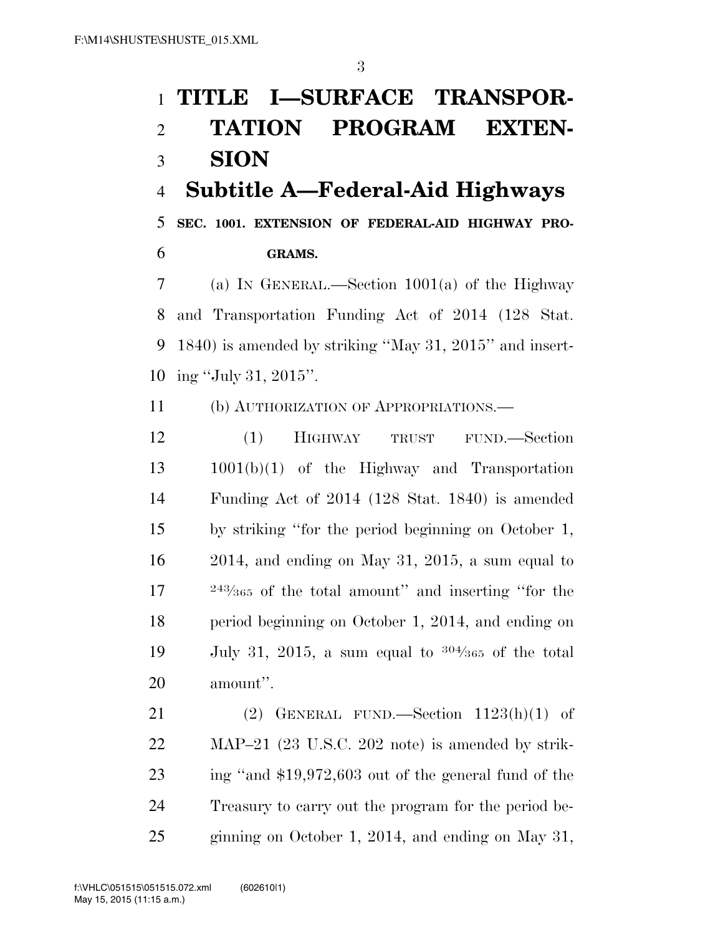# **TITLE I—SURFACE TRANSPOR-**

# **TATION PROGRAM EXTEN-**

## **SION**

### **Subtitle A—Federal-Aid Highways**

 **SEC. 1001. EXTENSION OF FEDERAL-AID HIGHWAY PRO-GRAMS.** 

 (a) IN GENERAL.—Section 1001(a) of the Highway and Transportation Funding Act of 2014 (128 Stat. 1840) is amended by striking ''May 31, 2015'' and insert-ing ''July 31, 2015''.

(b) AUTHORIZATION OF APPROPRIATIONS.—

 (1) HIGHWAY TRUST FUND.—Section 1001(b)(1) of the Highway and Transportation Funding Act of 2014 (128 Stat. 1840) is amended by striking ''for the period beginning on October 1, 2014, and ending on May 31, 2015, a sum equal to  $17 \qquad$  <sup>243</sup>/<sub>365</sub> of the total amount'' and inserting "for the period beginning on October 1, 2014, and ending on 19 July 31, 2015, a sum equal to  $304/365$  of the total amount''.

21 (2) GENERAL FUND.—Section  $1123(h)(1)$  of MAP–21 (23 U.S.C. 202 note) is amended by strik- ing ''and \$19,972,603 out of the general fund of the Treasury to carry out the program for the period be-ginning on October 1, 2014, and ending on May 31,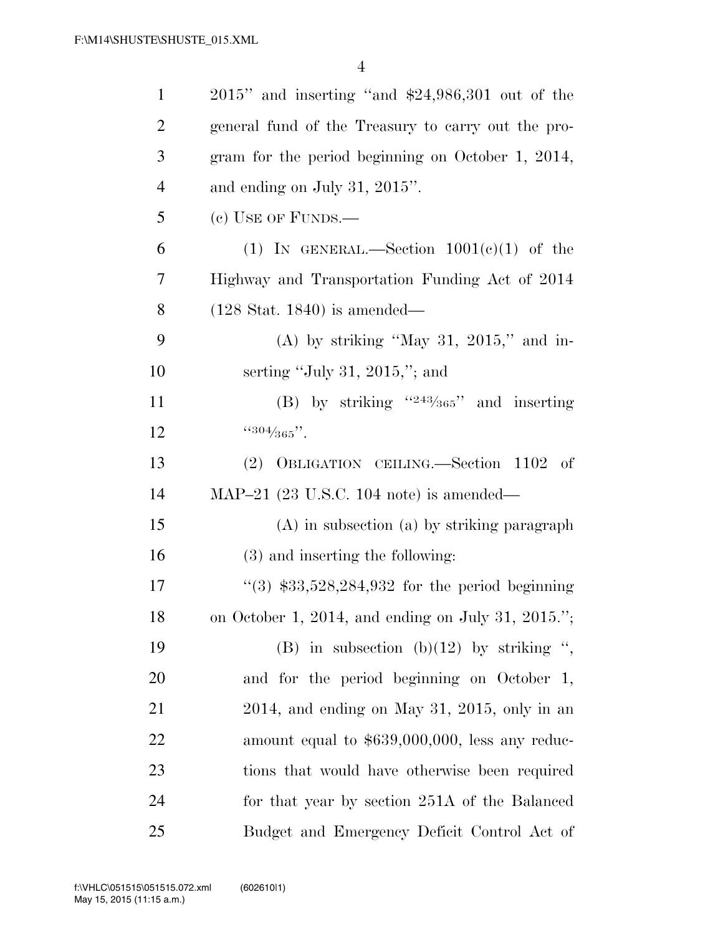| $\mathbf{1}$   | $2015$ " and inserting "and \$24,986,301 out of the |
|----------------|-----------------------------------------------------|
| $\overline{2}$ | general fund of the Treasury to carry out the pro-  |
| 3              | gram for the period beginning on October 1, 2014,   |
| $\overline{4}$ | and ending on July 31, $2015$ ".                    |
| 5              | $(e)$ USE OF FUNDS.—                                |
| 6              | (1) IN GENERAL.—Section $1001(e)(1)$ of the         |
| 7              | Highway and Transportation Funding Act of 2014      |
| 8              | $(128 \text{ Stat. } 1840)$ is amended—             |
| 9              | (A) by striking "May 31, 2015," and in-             |
| 10             | serting "July 31, 2015,"; and                       |
| 11             | (B) by striking " $243/365$ " and inserting         |
| 12             | $4304/365$ ".                                       |
| 13             | (2) OBLIGATION CEILING.—Section 1102 of             |
| 14             | MAP $-21$ (23 U.S.C. 104 note) is amended—          |
| 15             | (A) in subsection (a) by striking paragraph         |
| 16             | (3) and inserting the following:                    |
| 17             | "(3) $$33,528,284,932$ for the period beginning     |
| 18             | on October 1, 2014, and ending on July 31, 2015.";  |
| 19             | (B) in subsection (b)(12) by striking ",            |
| 20             | and for the period beginning on October 1,          |
| 21             | $2014$ , and ending on May 31, 2015, only in an     |
| 22             | amount equal to $$639,000,000$ , less any reduc-    |
| 23             | tions that would have otherwise been required       |
| 24             | for that year by section 251A of the Balanced       |
| 25             | Budget and Emergency Deficit Control Act of         |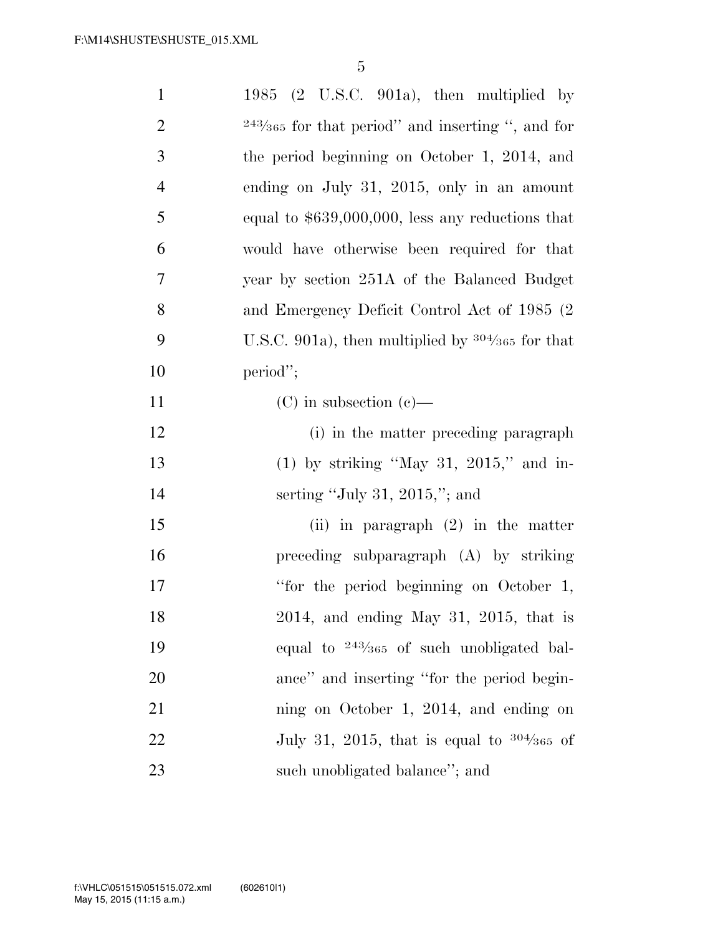| $\mathbf{1}$   | 1985 $(2 \text{ U.S.C. } 901a)$ , then multiplied by |
|----------------|------------------------------------------------------|
| $\overline{2}$ | $243/365$ for that period" and inserting ", and for  |
| 3              | the period beginning on October 1, 2014, and         |
| $\overline{4}$ | ending on July 31, 2015, only in an amount           |
| 5              | equal to $$639,000,000$ , less any reductions that   |
| 6              | would have otherwise been required for that          |
| 7              | year by section 251A of the Balanced Budget          |
| 8              | and Emergency Deficit Control Act of 1985 (2)        |
| 9              | U.S.C. 901a), then multiplied by $304/365$ for that  |
| 10             | period";                                             |
| 11             | $(C)$ in subsection $(e)$ —                          |
| 12             | (i) in the matter preceding paragraph                |
| 13             | $(1)$ by striking "May 31, 2015," and in-            |
| 14             | serting "July 31, 2015,"; and                        |
| 15             | (ii) in paragraph $(2)$ in the matter                |
| 16             | preceding subparagraph $(A)$ by striking             |
| 17             | "for the period beginning on October 1,              |
| 18             | $2014$ , and ending May 31, 2015, that is            |
| 19             | equal to $243/365$ of such unobligated bal-          |
| 20             | ance" and inserting "for the period begin-           |
| 21             | ning on October 1, 2014, and ending on               |
| 22             | July 31, 2015, that is equal to $304/365$ of         |
| 23             | such unobligated balance"; and                       |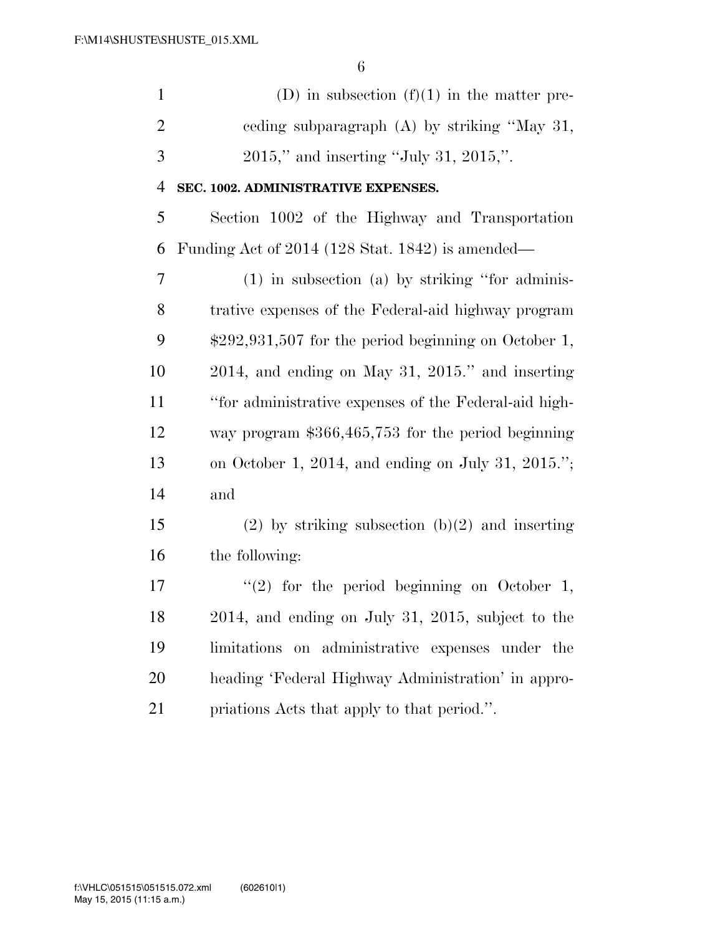| $\mathbf{1}$   | (D) in subsection $(f)(1)$ in the matter pre-          |
|----------------|--------------------------------------------------------|
| $\overline{2}$ | eeding subparagraph (A) by striking "May 31,           |
| 3              | $2015$ ," and inserting "July 31, 2015,".              |
| 4              | SEC. 1002. ADMINISTRATIVE EXPENSES.                    |
| 5              | Section 1002 of the Highway and Transportation         |
| 6              | Funding Act of 2014 (128 Stat. 1842) is amended—       |
| $\overline{7}$ | $(1)$ in subsection $(a)$ by striking "for adminis-    |
| 8              | trative expenses of the Federal-aid highway program    |
| 9              | $$292,931,507$ for the period beginning on October 1,  |
| 10             | $2014$ , and ending on May 31, $2015$ ." and inserting |
| 11             | "for administrative expenses of the Federal-aid high-  |
| 12             | way program $$366,465,753$ for the period beginning    |
| 13             | on October 1, 2014, and ending on July 31, 2015.";     |
| 14             | and                                                    |
| 15             | $(2)$ by striking subsection $(b)(2)$ and inserting    |
| 16             | the following:                                         |
| 17             | $\lq(2)$ for the period beginning on October 1,        |
| 18             | $2014$ , and ending on July 31, 2015, subject to the   |
| 19             | limitations<br>on administrative expenses under the    |
| 20             | heading 'Federal Highway Administration' in appro-     |
| 21             | priations Acts that apply to that period.".            |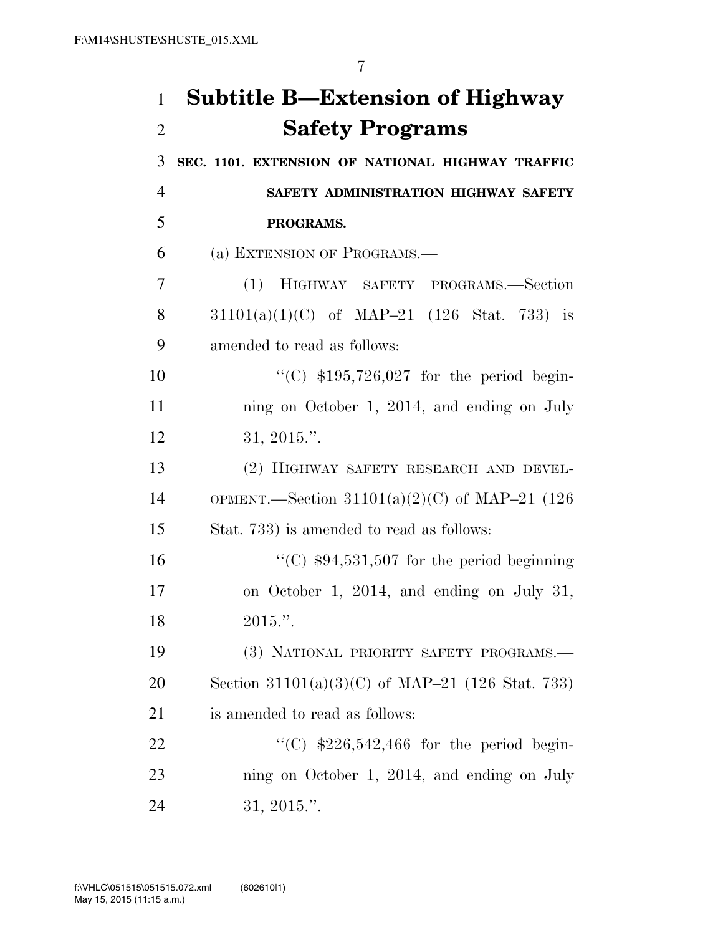## **Subtitle B—Extension of Highway Safety Programs**

 **SEC. 1101. EXTENSION OF NATIONAL HIGHWAY TRAFFIC SAFETY ADMINISTRATION HIGHWAY SAFETY PROGRAMS.**  (a) EXTENSION OF PROGRAMS.— (1) HIGHWAY SAFETY PROGRAMS.—Section 31101(a)(1)(C) of MAP–21 (126 Stat. 733) is amended to read as follows: 10 "'(C) \$195,726,027 for the period begin-11 ning on October 1, 2014, and ending on July 31, 2015.''. (2) HIGHWAY SAFETY RESEARCH AND DEVEL- OPMENT.—Section 31101(a)(2)(C) of MAP–21 (126 Stat. 733) is amended to read as follows:  $\frac{16}{2}$  (C) \$94,531,507 for the period beginning on October 1, 2014, and ending on July 31, 2015.''. (3) NATIONAL PRIORITY SAFETY PROGRAMS.— Section 31101(a)(3)(C) of MAP–21 (126 Stat. 733) is amended to read as follows:  $\textdegree{}$  (C) \$226,542,466 for the period begin-ning on October 1, 2014, and ending on July

31, 2015.''.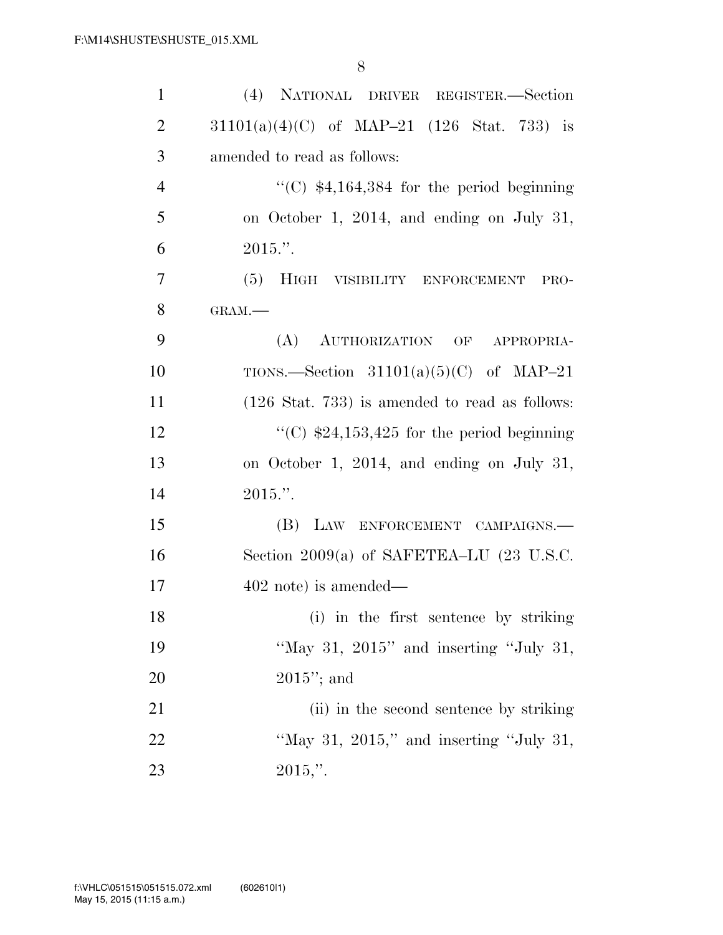| $\mathbf{1}$   | (4) NATIONAL DRIVER REGISTER.—Section                     |
|----------------|-----------------------------------------------------------|
| $\overline{2}$ | $31101(a)(4)(C)$ of MAP-21 (126 Stat. 733) is             |
| 3              | amended to read as follows:                               |
| $\overline{4}$ | "(C) $$4,164,384$ for the period beginning                |
| 5              | on October 1, 2014, and ending on July 31,                |
| 6              | $2015."$ .                                                |
| $\overline{7}$ | (5) HIGH VISIBILITY ENFORCEMENT PRO-                      |
| 8              | GRAM.-                                                    |
| 9              | (A) AUTHORIZATION OF APPROPRIA-                           |
| 10             | TIONS.—Section $31101(a)(5)(C)$ of MAP-21                 |
| 11             | $(126 \text{ Stat. } 733)$ is amended to read as follows: |
| 12             | "(C) $$24,153,425$ for the period beginning               |
| 13             | on October 1, 2014, and ending on July 31,                |
| 14             | $2015."$ .                                                |
| 15             | (B) LAW ENFORCEMENT CAMPAIGNS.                            |
| 16             | Section 2009(a) of SAFETEA–LU $(23 \text{ U.S.C.})$       |
| 17             | $402$ note) is amended—                                   |
| 18             | (i) in the first sentence by striking                     |
| 19             | "May 31, $2015$ " and inserting "July 31,                 |
| 20             | $2015$ "; and                                             |
| 21             | (ii) in the second sentence by striking                   |
| 22             | "May 31, $2015$ ," and inserting "July 31,                |
| 23             | $2015,$ ".                                                |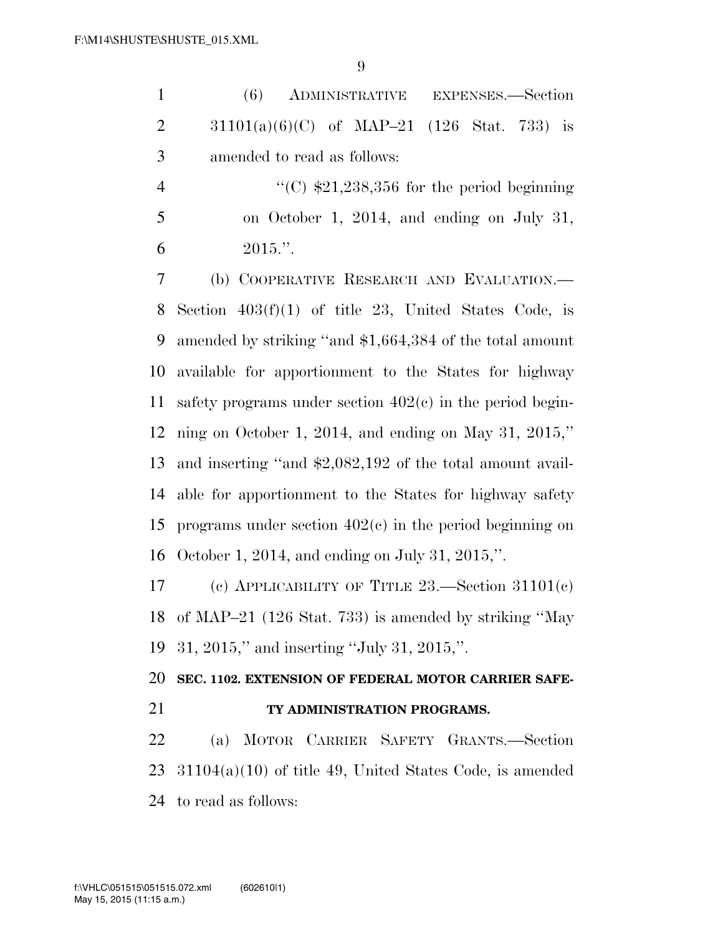| $\mathbf{1}$  |                                                 |  | (6) ADMINISTRATIVE EXPENSES.-Section |  |  |
|---------------|-------------------------------------------------|--|--------------------------------------|--|--|
|               | 2 $31101(a)(6)(C)$ of MAP-21 (126 Stat. 733) is |  |                                      |  |  |
| $\mathcal{R}$ | amended to read as follows:                     |  |                                      |  |  |

4  $\frac{1}{2}$  (C) \$21,238,356 for the period beginning on October 1, 2014, and ending on July 31, 6  $2015."$ 

 (b) COOPERATIVE RESEARCH AND EVALUATION.— Section 403(f)(1) of title 23, United States Code, is amended by striking ''and \$1,664,384 of the total amount available for apportionment to the States for highway safety programs under section 402(c) in the period begin- ning on October 1, 2014, and ending on May 31, 2015,'' and inserting ''and \$2,082,192 of the total amount avail- able for apportionment to the States for highway safety programs under section 402(c) in the period beginning on October 1, 2014, and ending on July 31, 2015,''.

 (c) APPLICABILITY OF TITLE 23.—Section 31101(c) of MAP–21 (126 Stat. 733) is amended by striking ''May 31, 2015,'' and inserting ''July 31, 2015,''.

 **SEC. 1102. EXTENSION OF FEDERAL MOTOR CARRIER SAFE-TY ADMINISTRATION PROGRAMS.** 

 (a) MOTOR CARRIER SAFETY GRANTS.—Section 31104(a)(10) of title 49, United States Code, is amended to read as follows: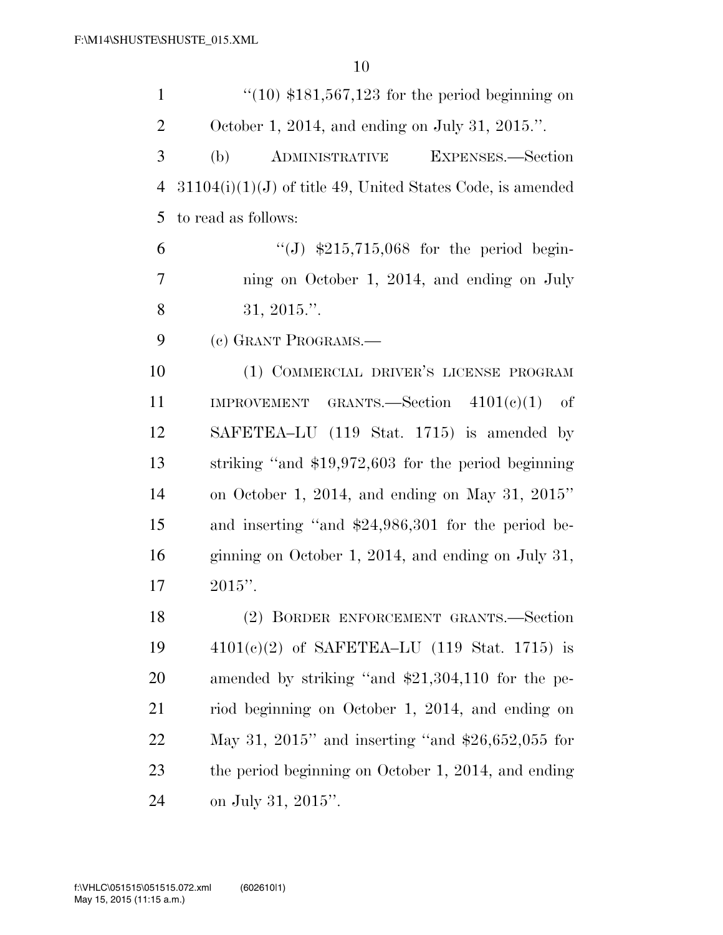| $\mathbf{1}$   | $\degree$ (10) \$181,567,123 for the period beginning on     |
|----------------|--------------------------------------------------------------|
| $\overline{2}$ | October 1, 2014, and ending on July 31, 2015.".              |
| 3              | EXPENSES.-Section<br>(b)<br>ADMINISTRATIVE                   |
| $\overline{4}$ | $31104(i)(1)(J)$ of title 49, United States Code, is amended |
| 5              | to read as follows:                                          |
| 6              | "(J) $$215,715,068$ for the period begin-                    |
| $\overline{7}$ | ning on October 1, 2014, and ending on July                  |
| 8              | 31, 2015."                                                   |
| 9              | (c) GRANT PROGRAMS.-                                         |
| 10             | (1) COMMERCIAL DRIVER'S LICENSE PROGRAM                      |
| 11             | IMPROVEMENT GRANTS. Section $4101(e)(1)$ of                  |
| 12             | SAFETEA–LU (119 Stat. 1715) is amended by                    |
| 13             | striking "and $$19,972,603$ for the period beginning         |
| 14             | on October 1, 2014, and ending on May 31, 2015"              |
| 15             | and inserting "and \$24,986,301 for the period be-           |
| 16             | ginning on October 1, 2014, and ending on July 31,           |
| 17             | $2015$ ".                                                    |
| 18             | (2) BORDER ENFORCEMENT GRANTS.-Section                       |
| 19             | $4101(c)(2)$ of SAFETEA-LU (119 Stat. 1715) is               |
| 20             | amended by striking "and \$21,304,110 for the pe-            |
| 21             | riod beginning on October 1, 2014, and ending on             |
| 22             | May 31, 2015" and inserting "and $$26,652,055$ for           |
| 23             | the period beginning on October 1, 2014, and ending          |
| 24             | on July 31, 2015".                                           |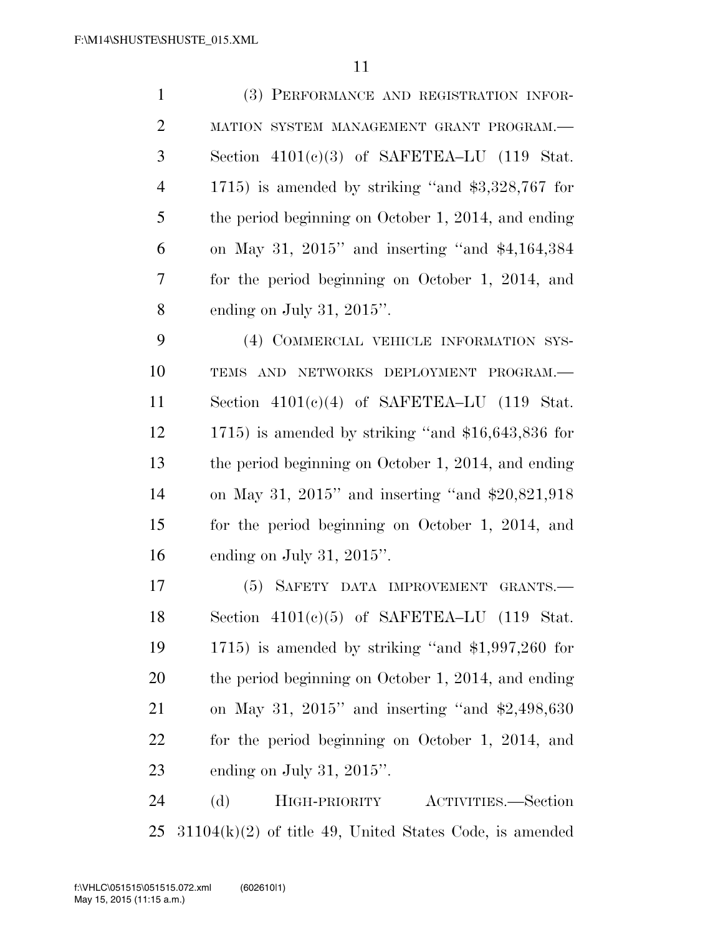| $\mathbf{1}$   | (3) PERFORMANCE AND REGISTRATION INFOR-                   |
|----------------|-----------------------------------------------------------|
| $\overline{2}$ | MATION SYSTEM MANAGEMENT GRANT PROGRAM.-                  |
| 3              | Section $4101(c)(3)$ of SAFETEA-LU (119 Stat.             |
| $\overline{4}$ | 1715) is amended by striking "and $$3,328,767$ for        |
| 5              | the period beginning on October 1, 2014, and ending       |
| 6              | on May 31, $2015$ " and inserting "and $$4,164,384$       |
| 7              | for the period beginning on October 1, 2014, and          |
| 8              | ending on July 31, $2015$ ".                              |
| 9              | (4) COMMERCIAL VEHICLE INFORMATION SYS-                   |
| 10             | TEMS AND NETWORKS DEPLOYMENT PROGRAM.-                    |
| 11             | Section $4101(c)(4)$ of SAFETEA-LU (119 Stat.             |
| 12             | 1715) is amended by striking "and $$16,643,836$ for       |
| 13             | the period beginning on October 1, 2014, and ending       |
| 14             | on May 31, $2015$ " and inserting "and \$20,821,918       |
| 15             | for the period beginning on October 1, 2014, and          |
| 16             | ending on July 31, $2015$ ".                              |
| 17             | (5) SAFETY DATA IMPROVEMENT GRANTS.—                      |
| 18             | Section $4101(c)(5)$ of SAFETEA-LU (119 Stat.             |
| 19             | 1715) is amended by striking "and $$1,997,260$ for        |
| 20             | the period beginning on October 1, 2014, and ending       |
| 21             | on May 31, 2015" and inserting "and $$2,498,630$          |
| 22             | for the period beginning on October 1, 2014, and          |
| 23             | ending on July 31, $2015$ ".                              |
| 24             | (d)<br>HIGH-PRIORITY<br>ACTIVITIES.—Section               |
| 25             | $31104(k)(2)$ of title 49, United States Code, is amended |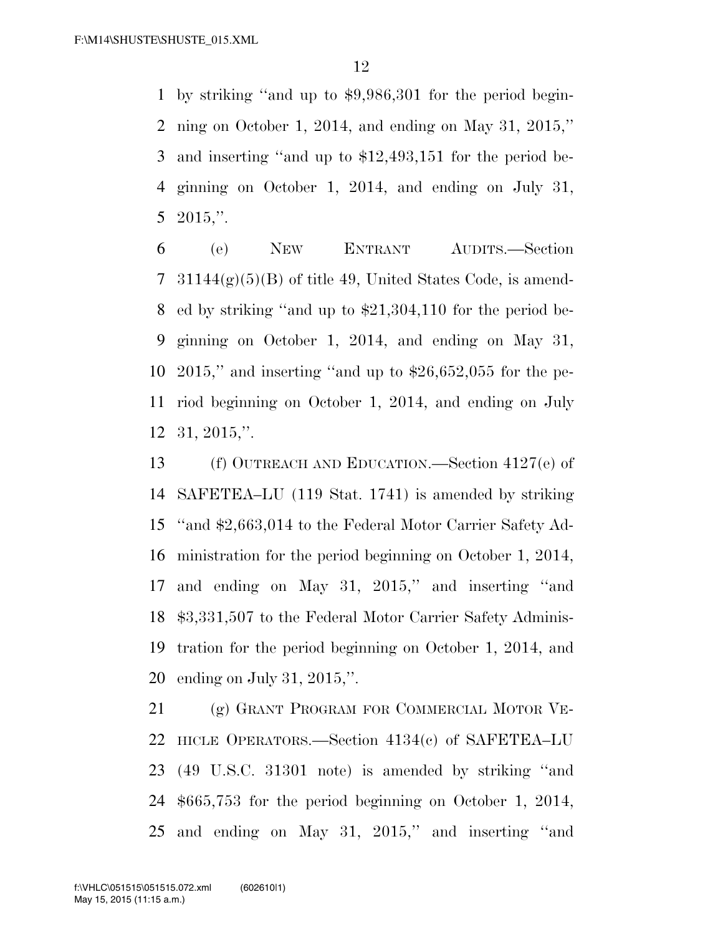by striking ''and up to \$9,986,301 for the period begin- ning on October 1, 2014, and ending on May 31, 2015,'' and inserting ''and up to \$12,493,151 for the period be- ginning on October 1, 2014, and ending on July 31, 2015,''.

 (e) NEW ENTRANT AUDITS.—Section  $31144(g)(5)(B)$  of title 49, United States Code, is amend- ed by striking ''and up to \$21,304,110 for the period be- ginning on October 1, 2014, and ending on May 31, 2015,'' and inserting ''and up to \$26,652,055 for the pe- riod beginning on October 1, 2014, and ending on July 31, 2015,''.

 (f) OUTREACH AND EDUCATION.—Section 4127(e) of SAFETEA–LU (119 Stat. 1741) is amended by striking ''and \$2,663,014 to the Federal Motor Carrier Safety Ad- ministration for the period beginning on October 1, 2014, and ending on May 31, 2015,'' and inserting ''and \$3,331,507 to the Federal Motor Carrier Safety Adminis- tration for the period beginning on October 1, 2014, and ending on July 31, 2015,''.

 (g) GRANT PROGRAM FOR COMMERCIAL MOTOR VE- HICLE OPERATORS.—Section 4134(c) of SAFETEA–LU (49 U.S.C. 31301 note) is amended by striking ''and \$665,753 for the period beginning on October 1, 2014, and ending on May 31, 2015,'' and inserting ''and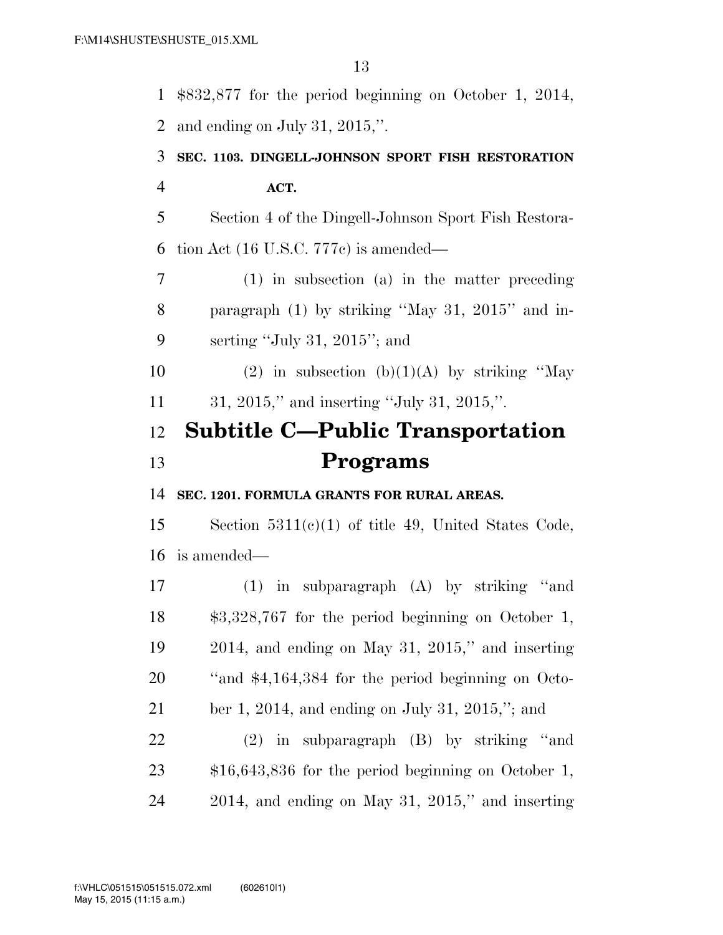\$832,877 for the period beginning on October 1, 2014, and ending on July 31, 2015,''. **SEC. 1103. DINGELL-JOHNSON SPORT FISH RESTORATION ACT.**  Section 4 of the Dingell-Johnson Sport Fish Restora-tion Act (16 U.S.C. 777c) is amended—

 (1) in subsection (a) in the matter preceding paragraph (1) by striking ''May 31, 2015'' and in-serting ''July 31, 2015''; and

10 (2) in subsection  $(b)(1)(A)$  by striking "May 31, 2015,'' and inserting ''July 31, 2015,''.

## **Subtitle C—Public Transportation Programs**

**SEC. 1201. FORMULA GRANTS FOR RURAL AREAS.** 

 Section 5311(c)(1) of title 49, United States Code, is amended—

 (1) in subparagraph (A) by striking ''and \$3,328,767 for the period beginning on October 1, 2014, and ending on May 31, 2015,'' and inserting ''and \$4,164,384 for the period beginning on Octo- ber 1, 2014, and ending on July 31, 2015,''; and (2) in subparagraph (B) by striking ''and

 \$16,643,836 for the period beginning on October 1, 2014, and ending on May 31, 2015,'' and inserting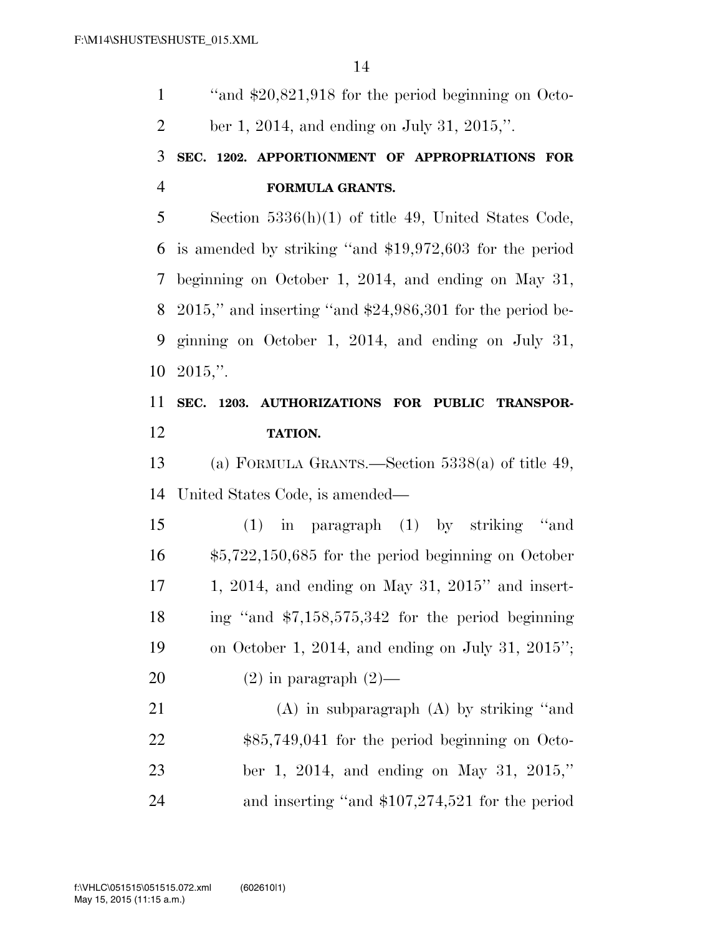''and \$20,821,918 for the period beginning on Octo-ber 1, 2014, and ending on July 31, 2015,''.

## **SEC. 1202. APPORTIONMENT OF APPROPRIATIONS FOR FORMULA GRANTS.**

 Section 5336(h)(1) of title 49, United States Code, is amended by striking ''and \$19,972,603 for the period beginning on October 1, 2014, and ending on May 31, 2015,'' and inserting ''and \$24,986,301 for the period be- ginning on October 1, 2014, and ending on July 31, 2015,''.

## **SEC. 1203. AUTHORIZATIONS FOR PUBLIC TRANSPOR-TATION.**

 (a) FORMULA GRANTS.—Section 5338(a) of title 49, United States Code, is amended—

 (1) in paragraph (1) by striking ''and \$5,722,150,685 for the period beginning on October 1, 2014, and ending on May 31, 2015'' and insert- ing ''and \$7,158,575,342 for the period beginning on October 1, 2014, and ending on July 31, 2015'';  $(2)$  in paragraph  $(2)$ —

 (A) in subparagraph (A) by striking ''and \$85,749,041 for the period beginning on Octo- ber 1, 2014, and ending on May 31, 2015,'' and inserting ''and \$107,274,521 for the period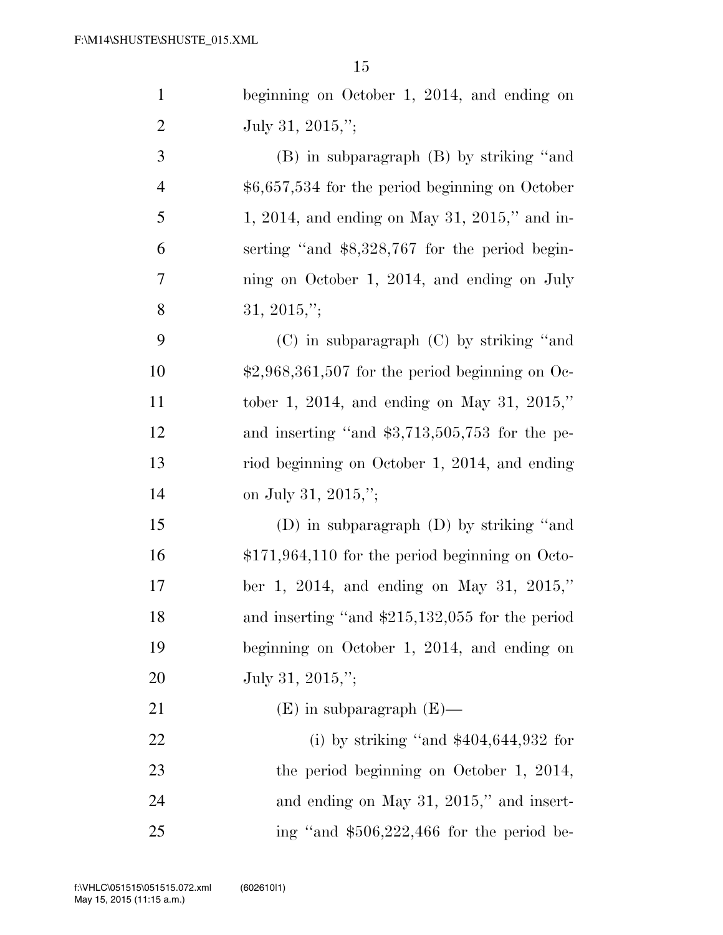| $\mathbf{1}$   | beginning on October 1, 2014, and ending on             |
|----------------|---------------------------------------------------------|
| $\overline{2}$ | July 31, 2015,";                                        |
| 3              | (B) in subparagraph (B) by striking "and                |
| $\overline{4}$ | $$6,657,534$ for the period beginning on October        |
| $\mathfrak{S}$ | 1, 2014, and ending on May 31, 2015," and in-           |
| 6              | serting "and \$8,328,767 for the period begin-          |
| $\tau$         | ning on October 1, 2014, and ending on July             |
| 8              | 31, 2015,";                                             |
| 9              | $(C)$ in subparagraph $(C)$ by striking "and            |
| 10             | $\text{$2,968,361,507}$ for the period beginning on Oc- |
| 11             | tober 1, 2014, and ending on May 31, 2015,"             |
| 12             | and inserting "and $$3,713,505,753$ for the pe-         |
| 13             | riod beginning on October 1, 2014, and ending           |
| 14             | on July 31, 2015,";                                     |
| 15             | (D) in subparagraph $(D)$ by striking "and              |
| 16             | $$171,964,110$ for the period beginning on Octo-        |
| 17             | ber 1, 2014, and ending on May 31, 2015,"               |
| 18             | and inserting "and \$215,132,055 for the period         |
| 19             | beginning on October 1, 2014, and ending on             |
| 20             | July 31, 2015,";                                        |
| 21             | $(E)$ in subparagraph $(E)$ —                           |
| 22             | (i) by striking "and $$404,644,932$ for                 |
| 23             | the period beginning on October 1, 2014,                |
| 24             | and ending on May 31, 2015," and insert-                |
| 25             | ing "and $$506,222,466$ for the period be-              |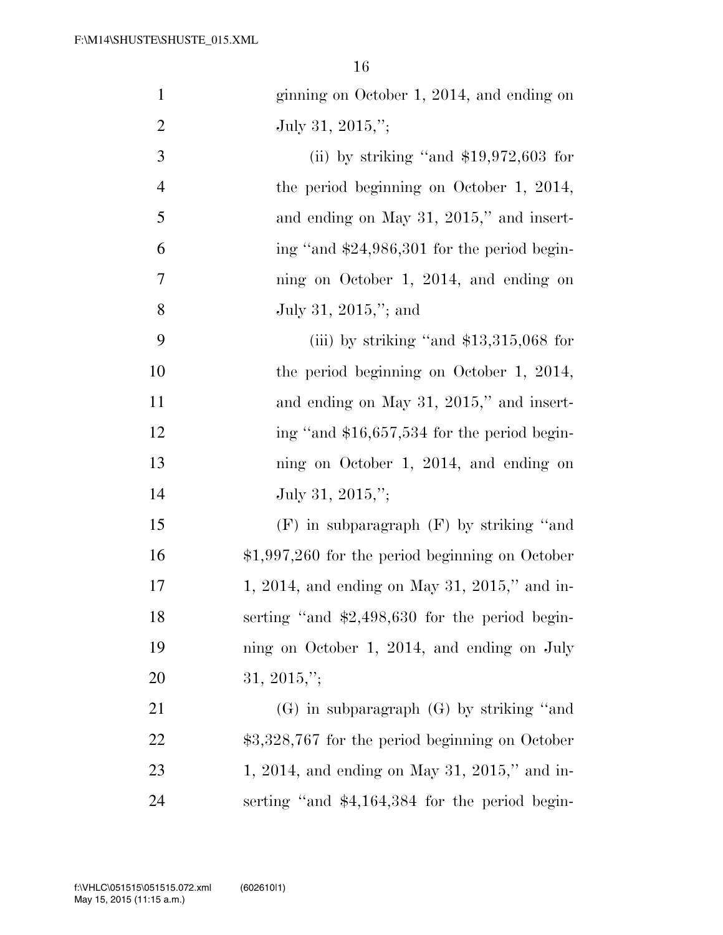| $\mathbf{1}$   | ginning on October 1, 2014, and ending on        |
|----------------|--------------------------------------------------|
| $\overline{2}$ | July 31, 2015,";                                 |
| 3              | (ii) by striking "and $$19,972,603$ for          |
| $\overline{4}$ | the period beginning on October 1, 2014,         |
| 5              | and ending on May 31, 2015," and insert-         |
| 6              | ing "and \$24,986,301 for the period begin-      |
| 7              | ning on October 1, 2014, and ending on           |
| 8              | July 31, 2015,"; and                             |
| 9              | (iii) by striking "and $$13,315,068$ for         |
| 10             | the period beginning on October 1, 2014,         |
| 11             | and ending on May 31, 2015," and insert-         |
| 12             | ing "and \$16,657,534 for the period begin-      |
| 13             | ning on October 1, 2014, and ending on           |
| 14             | July 31, 2015,";                                 |
| 15             | $(F)$ in subparagraph $(F)$ by striking "and     |
| 16             | $$1,997,260$ for the period beginning on October |
| 17             | 1, 2014, and ending on May 31, 2015," and in-    |
| 18             | serting "and $$2,498,630$ for the period begin-  |
| 19             | ning on October 1, 2014, and ending on July      |
| 20             | $31, 2015,$ ";                                   |
| 21             | $(G)$ in subparagraph $(G)$ by striking "and     |
| 22             | $$3,328,767$ for the period beginning on October |
| 23             | 1, 2014, and ending on May 31, 2015," and in-    |
| 24             | serting "and $$4,164,384$ for the period begin-  |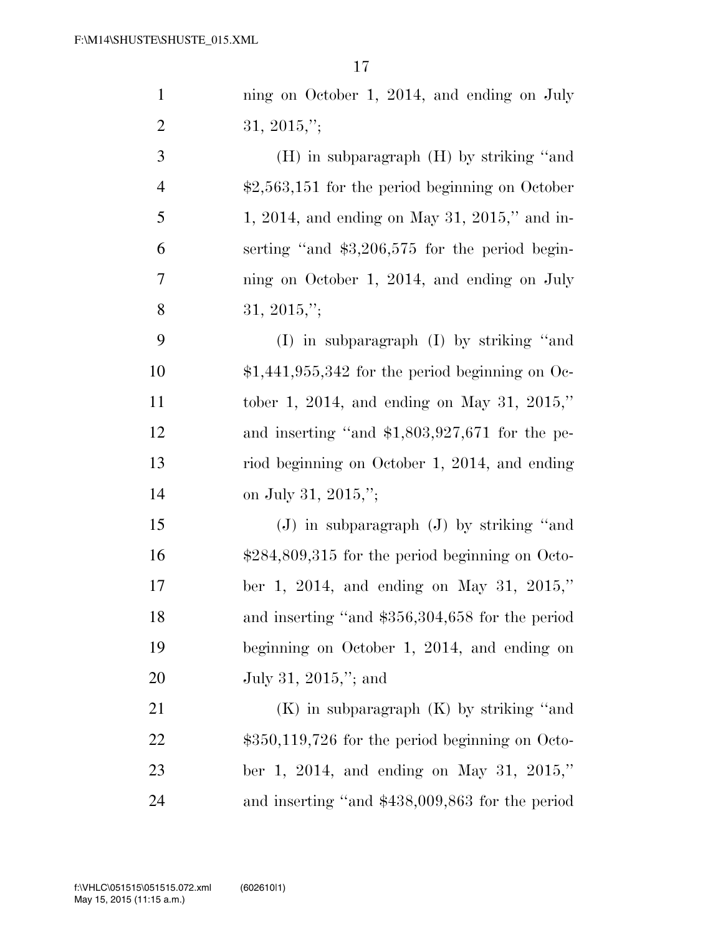| $\mathbf{1}$   | ning on October 1, 2014, and ending on July             |
|----------------|---------------------------------------------------------|
| $\mathbf{2}$   | $31, 2015,$ ";                                          |
| 3              | $(H)$ in subparagraph $(H)$ by striking "and            |
| $\overline{4}$ | $\text{$}2,563,151$ for the period beginning on October |
| 5              | 1, 2014, and ending on May 31, 2015," and in-           |
| 6              | serting "and $$3,206,575$ for the period begin-         |
| 7              | ning on October 1, 2014, and ending on July             |
| 8              | 31, 2015,";                                             |
| 9              | (I) in subparagraph (I) by striking "and                |
| 10             | $$1,441,955,342$ for the period beginning on Oc-        |
| 11             | tober 1, 2014, and ending on May 31, 2015,"             |
| 12             | and inserting "and $$1,803,927,671$ for the pe-         |
| 13             | riod beginning on October 1, 2014, and ending           |
| 14             | on July 31, 2015,";                                     |
| 15             | $(J)$ in subparagraph $(J)$ by striking "and            |
| 16             | $$284,809,315$ for the period beginning on Octo-        |
| 17             | ber 1, 2014, and ending on May 31, 2015,"               |
| 18             | and inserting "and \$356,304,658 for the period         |
| 19             | beginning on October 1, 2014, and ending on             |
| 20             | July 31, 2015,"; and                                    |
| 21             | $(K)$ in subparagraph $(K)$ by striking "and            |
| 22             | $$350,119,726$ for the period beginning on Octo-        |
| 23             | ber 1, 2014, and ending on May 31, 2015,"               |
| 24             | and inserting "and \$438,009,863 for the period         |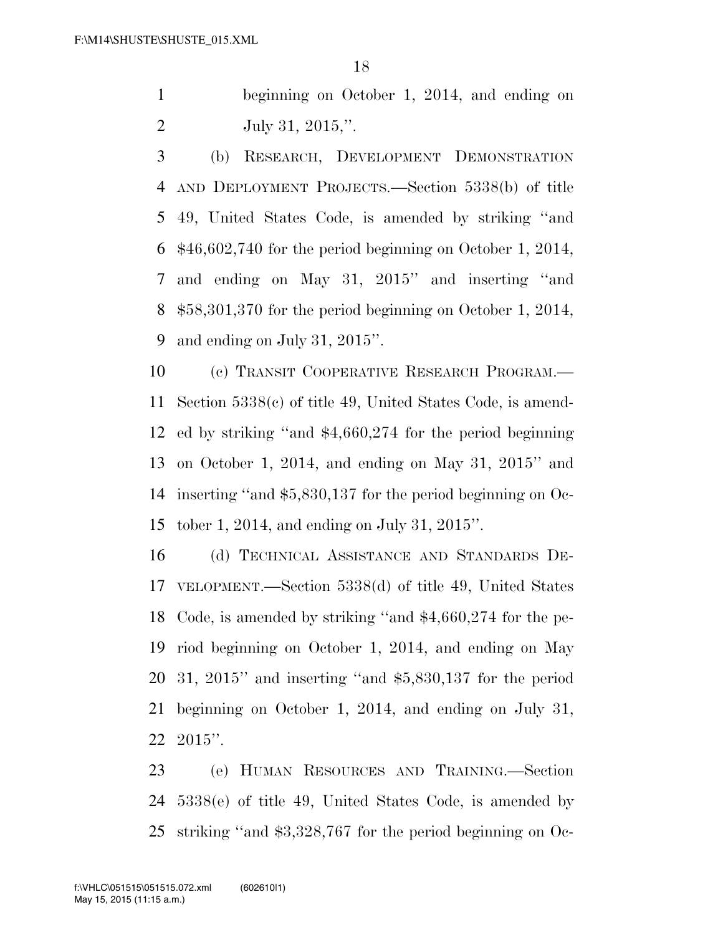beginning on October 1, 2014, and ending on July 31, 2015,''.

 (b) RESEARCH, DEVELOPMENT DEMONSTRATION AND DEPLOYMENT PROJECTS.—Section 5338(b) of title 49, United States Code, is amended by striking ''and \$46,602,740 for the period beginning on October 1, 2014, and ending on May 31, 2015'' and inserting ''and \$58,301,370 for the period beginning on October 1, 2014, and ending on July 31, 2015''.

 (c) TRANSIT COOPERATIVE RESEARCH PROGRAM.— Section 5338(c) of title 49, United States Code, is amend- ed by striking ''and \$4,660,274 for the period beginning on October 1, 2014, and ending on May 31, 2015'' and inserting ''and \$5,830,137 for the period beginning on Oc-tober 1, 2014, and ending on July 31, 2015''.

 (d) TECHNICAL ASSISTANCE AND STANDARDS DE- VELOPMENT.—Section 5338(d) of title 49, United States Code, is amended by striking ''and \$4,660,274 for the pe- riod beginning on October 1, 2014, and ending on May 31, 2015'' and inserting ''and \$5,830,137 for the period beginning on October 1, 2014, and ending on July 31, 2015''.

 (e) HUMAN RESOURCES AND TRAINING.—Section 5338(e) of title 49, United States Code, is amended by striking ''and \$3,328,767 for the period beginning on Oc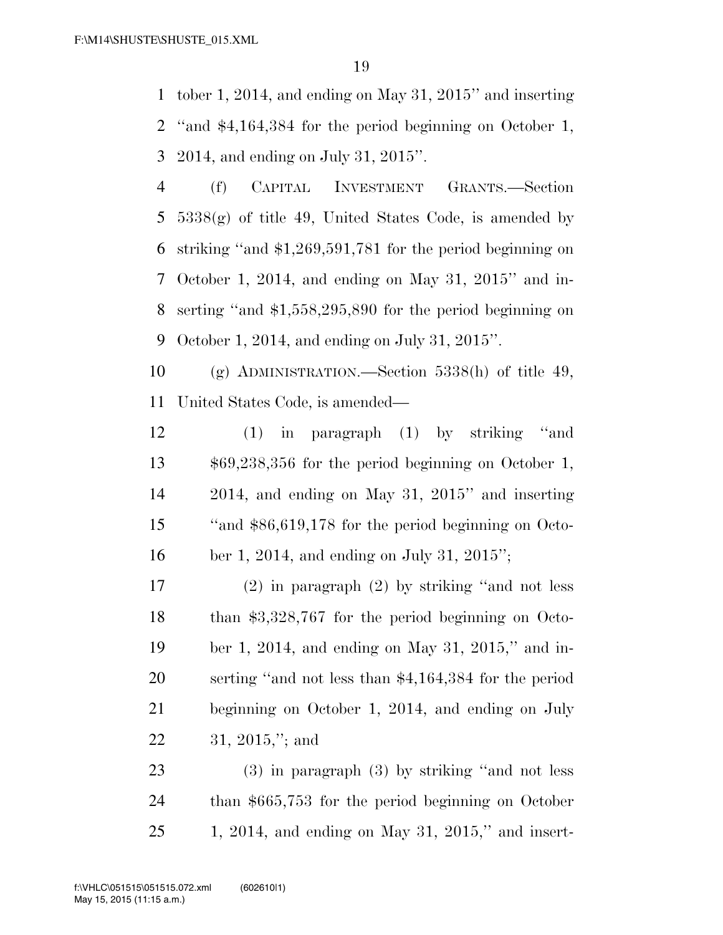tober 1, 2014, and ending on May 31, 2015'' and inserting ''and \$4,164,384 for the period beginning on October 1, 2014, and ending on July 31, 2015''.

 (f) CAPITAL INVESTMENT GRANTS.—Section  $5338(g)$  of title 49, United States Code, is amended by striking ''and \$1,269,591,781 for the period beginning on October 1, 2014, and ending on May 31, 2015'' and in- serting ''and \$1,558,295,890 for the period beginning on October 1, 2014, and ending on July 31, 2015''.

 (g) ADMINISTRATION.—Section 5338(h) of title 49, United States Code, is amended—

 (1) in paragraph (1) by striking ''and \$69,238,356 for the period beginning on October 1, 2014, and ending on May 31, 2015'' and inserting ''and \$86,619,178 for the period beginning on Octo-ber 1, 2014, and ending on July 31, 2015'';

 (2) in paragraph (2) by striking ''and not less than \$3,328,767 for the period beginning on Octo- ber 1, 2014, and ending on May 31, 2015,'' and in- serting ''and not less than \$4,164,384 for the period beginning on October 1, 2014, and ending on July 31, 2015,''; and

 (3) in paragraph (3) by striking ''and not less than \$665,753 for the period beginning on October 1, 2014, and ending on May 31, 2015,'' and insert-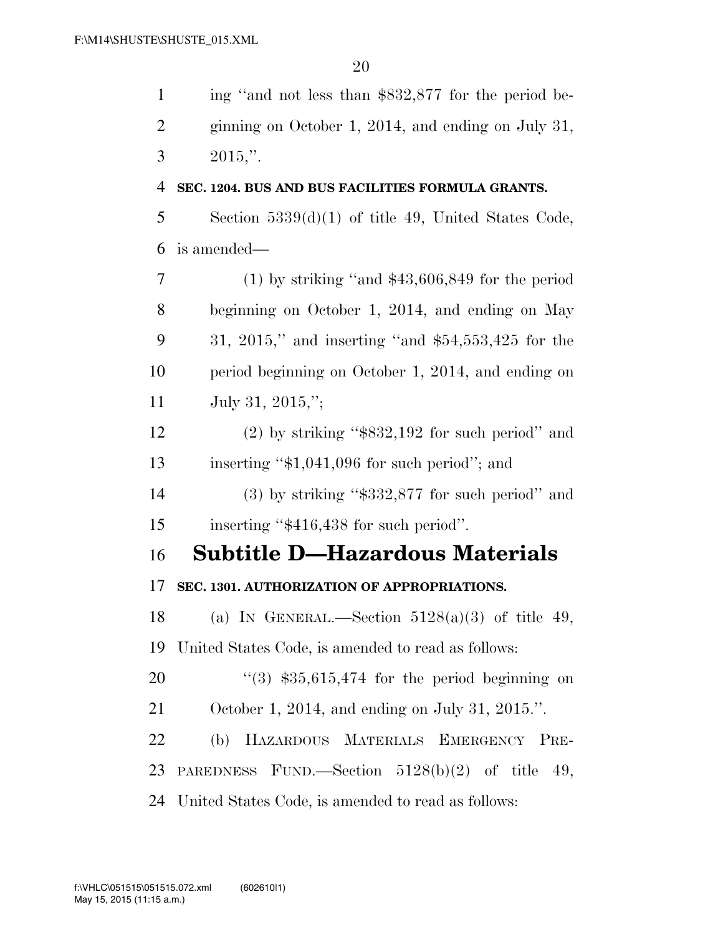| $\mathbf{1}$   | ing "and not less than \$832,877 for the period be-   |
|----------------|-------------------------------------------------------|
| 2              | ginning on October 1, 2014, and ending on July 31,    |
| 3              | $2015$ ."                                             |
| $\overline{4}$ | SEC. 1204. BUS AND BUS FACILITIES FORMULA GRANTS.     |
| 5              | Section $5339(d)(1)$ of title 49, United States Code, |
| 6              | is amended—                                           |
| 7              | $(1)$ by striking "and \$43,606,849 for the period    |
| 8              | beginning on October 1, 2014, and ending on May       |
| 9              | 31, 2015," and inserting "and $$54,553,425$ for the   |
| 10             | period beginning on October 1, 2014, and ending on    |
| 11             | July 31, 2015,";                                      |
| 12             | $(2)$ by striking "\$832,192 for such period" and     |
| 13             | inserting " $$1,041,096$ for such period"; and        |
| 14             | $(3)$ by striking "\$332,877 for such period" and     |
| 15             | inserting "\$416,438 for such period".                |
| 16             | Subtitle D—Hazardous Materials                        |
| 17             | SEC. 1301. AUTHORIZATION OF APPROPRIATIONS.           |
| 18             | (a) IN GENERAL.—Section $5128(a)(3)$ of title 49,     |
| 19             | United States Code, is amended to read as follows:    |
| 20             | $(3)$ \$35,615,474 for the period beginning on        |
| 21             | October 1, 2014, and ending on July 31, 2015.".       |
| 22             | (b) HAZARDOUS MATERIALS EMERGENCY PRE-                |
| 23             | PAREDNESS FUND.—Section $5128(b)(2)$ of title<br>49,  |
| 24             | United States Code, is amended to read as follows:    |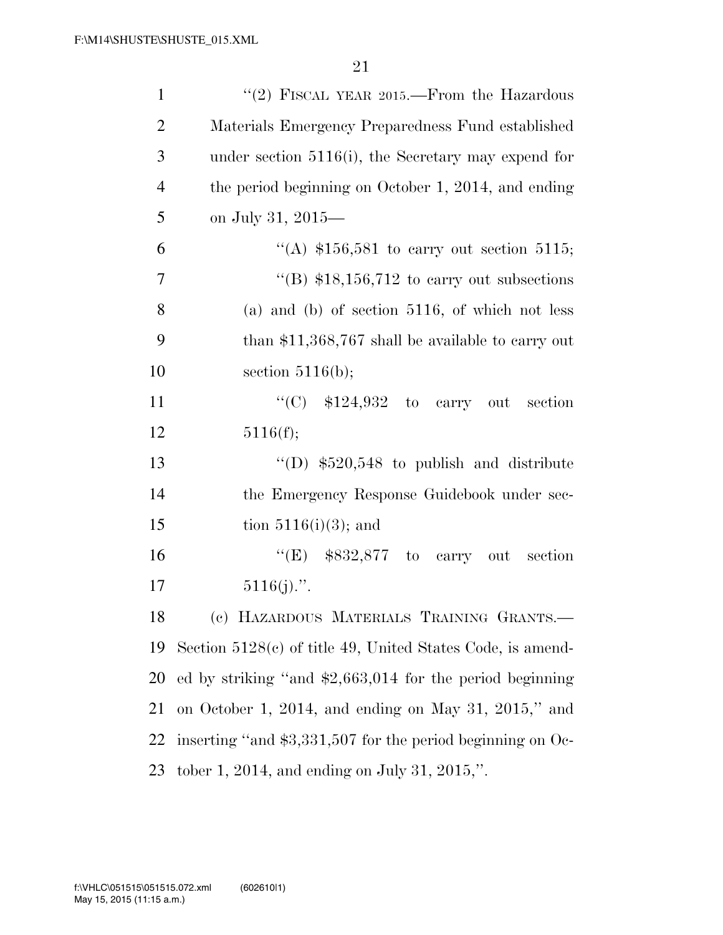| $\mathbf{1}$   | "(2) FISCAL YEAR 2015.—From the Hazardous                    |
|----------------|--------------------------------------------------------------|
| $\mathfrak{2}$ | Materials Emergency Preparedness Fund established            |
| 3              | under section $5116(i)$ , the Secretary may expend for       |
| $\overline{4}$ | the period beginning on October 1, 2014, and ending          |
| 5              | on July 31, 2015—                                            |
| 6              | "(A) $$156,581$ to carry out section 5115;                   |
| $\overline{7}$ | "(B) $$18,156,712$ to carry out subsections                  |
| 8              | (a) and (b) of section $5116$ , of which not less            |
| 9              | than $$11,368,767$ shall be available to carry out           |
| 10             | section $5116(b)$ ;                                          |
| 11             | "(C) $$124,932$ to carry out<br>section                      |
| 12             | 5116(f);                                                     |
| 13             | "(D) $$520,548$ to publish and distribute                    |
| 14             | the Emergency Response Guidebook under sec-                  |
| 15             | tion $5116(i)(3)$ ; and                                      |
| 16             | "(E) $$832,877$ to carry out section                         |
| 17             | $5116(j)$ .".                                                |
| 18             | (c) HAZARDOUS MATERIALS TRAINING GRANTS.-                    |
| 19             | Section $5128(c)$ of title 49, United States Code, is amend- |
| 20             | ed by striking "and $$2,663,014$ for the period beginning    |
| 21             | on October 1, 2014, and ending on May 31, 2015," and         |
| 22             | inserting "and \$3,331,507 for the period beginning on Oc-   |
| 23             | tober 1, 2014, and ending on July 31, 2015,".                |